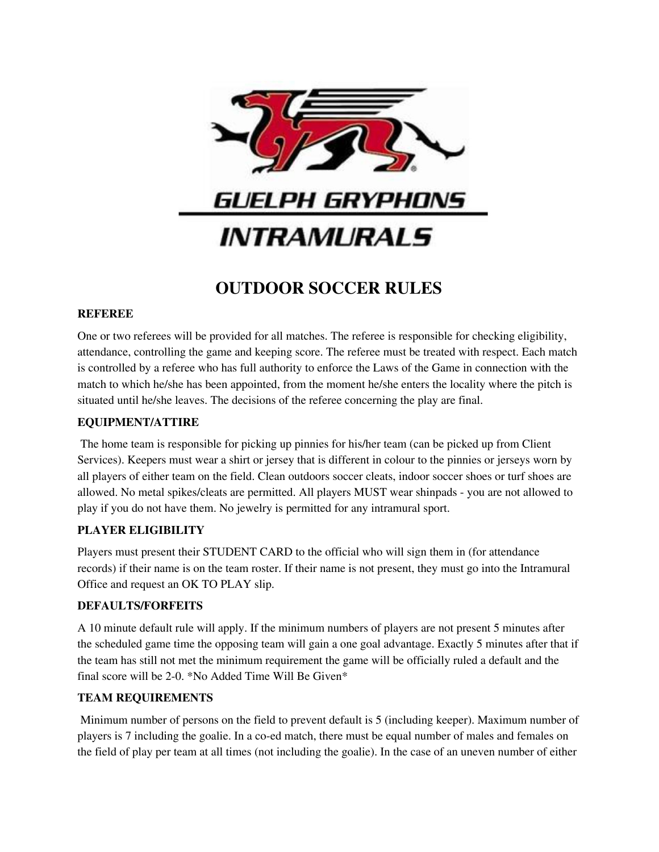

# **OUTDOOR SOCCER RULES**

## **REFEREE**

One or two referees will be provided for all matches. The referee is responsible for checking eligibility, attendance, controlling the game and keeping score. The referee must be treated with respect. Each match is controlled by a referee who has full authority to enforce the Laws of the Game in connection with the match to which he/she has been appointed, from the moment he/she enters the locality where the pitch is situated until he/she leaves. The decisions of the referee concerning the play are final.

### **EQUIPMENT/ATTIRE**

The home team is responsible for picking up pinnies for his/her team (can be picked up from Client Services). Keepers must wear a shirt or jersey that is different in colour to the pinnies or jerseys worn by all players of either team on the field. Clean outdoors soccer cleats, indoor soccer shoes or turf shoes are allowed. No metal spikes/cleats are permitted. All players MUST wear shinpads - you are not allowed to play if you do not have them. No jewelry is permitted for any intramural sport.

## **PLAYER ELIGIBILITY**

Players must present their STUDENT CARD to the official who will sign them in (for attendance records) if their name is on the team roster. If their name is not present, they must go into the Intramural Office and request an OK TO PLAY slip.

#### **DEFAULTS/FORFEITS**

A 10 minute default rule will apply. If the minimum numbers of players are not present 5 minutes after the scheduled game time the opposing team will gain a one goal advantage. Exactly 5 minutes after that if the team has still not met the minimum requirement the game will be officially ruled a default and the final score will be 2-0. \*No Added Time Will Be Given\*

## **TEAM REQUIREMENTS**

Minimum number of persons on the field to prevent default is 5 (including keeper). Maximum number of players is 7 including the goalie. In a co-ed match, there must be equal number of males and females on the field of play per team at all times (not including the goalie). In the case of an uneven number of either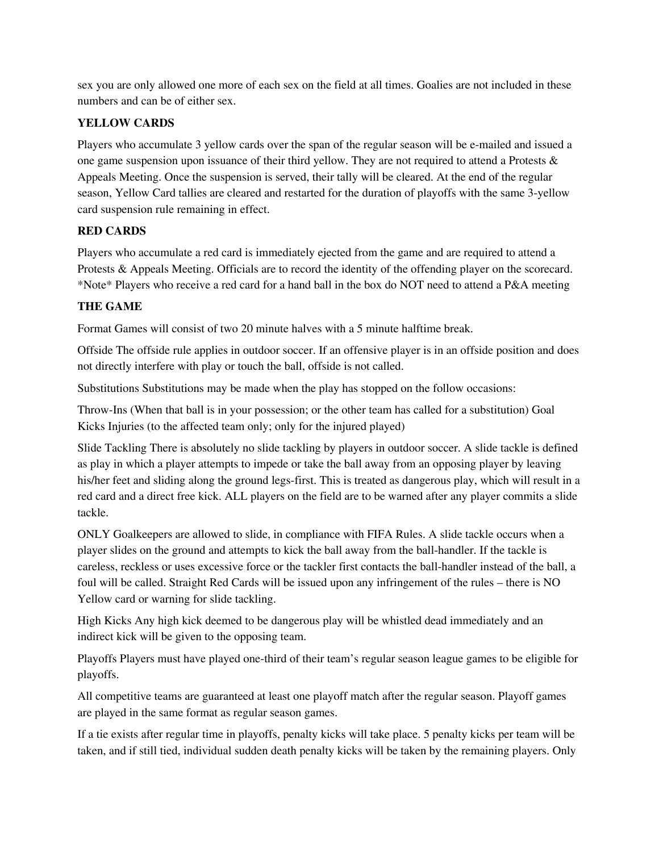sex you are only allowed one more of each sex on the field at all times. Goalies are not included in these numbers and can be of either sex.

# **YELLOW CARDS**

Players who accumulate 3 yellow cards over the span of the regular season will be e-mailed and issued a one game suspension upon issuance of their third yellow. They are not required to attend a Protests & Appeals Meeting. Once the suspension is served, their tally will be cleared. At the end of the regular season, Yellow Card tallies are cleared and restarted for the duration of playoffs with the same 3-yellow card suspension rule remaining in effect.

# **RED CARDS**

Players who accumulate a red card is immediately ejected from the game and are required to attend a Protests & Appeals Meeting. Officials are to record the identity of the offending player on the scorecard. \*Note\* Players who receive a red card for a hand ball in the box do NOT need to attend a P&A meeting

# **THE GAME**

Format Games will consist of two 20 minute halves with a 5 minute halftime break.

Offside The offside rule applies in outdoor soccer. If an offensive player is in an offside position and does not directly interfere with play or touch the ball, offside is not called.

Substitutions Substitutions may be made when the play has stopped on the follow occasions:

Throw-Ins (When that ball is in your possession; or the other team has called for a substitution) Goal Kicks Injuries (to the affected team only; only for the injured played)

Slide Tackling There is absolutely no slide tackling by players in outdoor soccer. A slide tackle is defined as play in which a player attempts to impede or take the ball away from an opposing player by leaving his/her feet and sliding along the ground legs-first. This is treated as dangerous play, which will result in a red card and a direct free kick. ALL players on the field are to be warned after any player commits a slide tackle.

ONLY Goalkeepers are allowed to slide, in compliance with FIFA Rules. A slide tackle occurs when a player slides on the ground and attempts to kick the ball away from the ball-handler. If the tackle is careless, reckless or uses excessive force or the tackler first contacts the ball-handler instead of the ball, a foul will be called. Straight Red Cards will be issued upon any infringement of the rules – there is NO Yellow card or warning for slide tackling.

High Kicks Any high kick deemed to be dangerous play will be whistled dead immediately and an indirect kick will be given to the opposing team.

Playoffs Players must have played one-third of their team's regular season league games to be eligible for playoffs.

All competitive teams are guaranteed at least one playoff match after the regular season. Playoff games are played in the same format as regular season games.

If a tie exists after regular time in playoffs, penalty kicks will take place. 5 penalty kicks per team will be taken, and if still tied, individual sudden death penalty kicks will be taken by the remaining players. Only